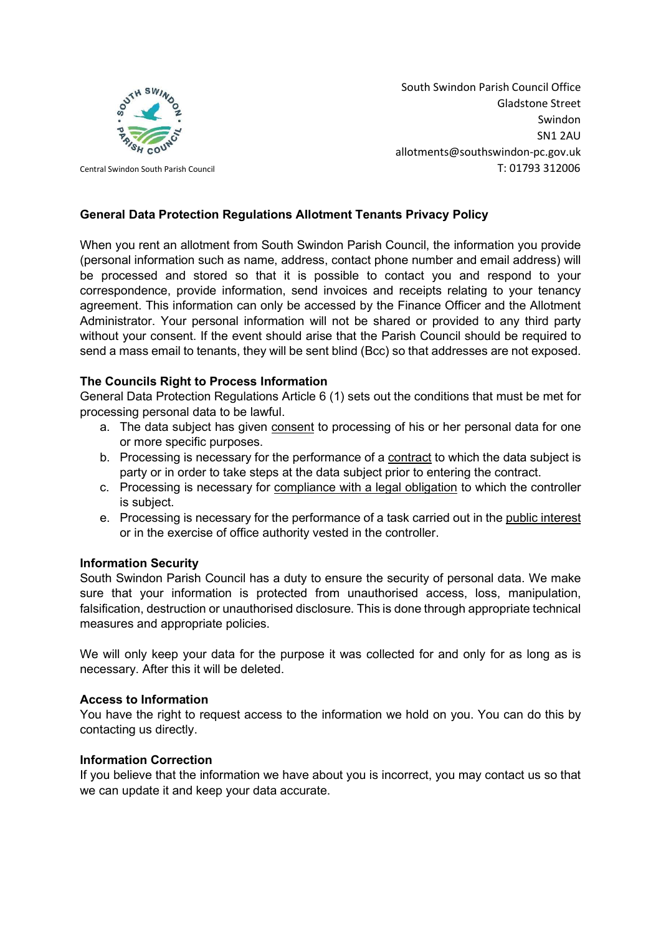

South Swindon Parish Council Office Gladstone Street Swindon SN1 2AU allotments@southswindon-pc.gov.uk Central Swindon South Parish Council T: 01793 312006

## General Data Protection Regulations Allotment Tenants Privacy Policy

When you rent an allotment from South Swindon Parish Council, the information you provide (personal information such as name, address, contact phone number and email address) will be processed and stored so that it is possible to contact you and respond to your correspondence, provide information, send invoices and receipts relating to your tenancy agreement. This information can only be accessed by the Finance Officer and the Allotment Administrator. Your personal information will not be shared or provided to any third party without your consent. If the event should arise that the Parish Council should be required to send a mass email to tenants, they will be sent blind (Bcc) so that addresses are not exposed.

## The Councils Right to Process Information

General Data Protection Regulations Article 6 (1) sets out the conditions that must be met for processing personal data to be lawful.

- a. The data subject has given consent to processing of his or her personal data for one or more specific purposes.
- b. Processing is necessary for the performance of a contract to which the data subject is party or in order to take steps at the data subject prior to entering the contract.
- c. Processing is necessary for compliance with a legal obligation to which the controller is subject.
- e. Processing is necessary for the performance of a task carried out in the public interest or in the exercise of office authority vested in the controller.

## Information Security

South Swindon Parish Council has a duty to ensure the security of personal data. We make sure that your information is protected from unauthorised access, loss, manipulation, falsification, destruction or unauthorised disclosure. This is done through appropriate technical measures and appropriate policies.

We will only keep your data for the purpose it was collected for and only for as long as is necessary. After this it will be deleted.

## Access to Information

You have the right to request access to the information we hold on you. You can do this by contacting us directly.

#### Information Correction

If you believe that the information we have about you is incorrect, you may contact us so that we can update it and keep your data accurate.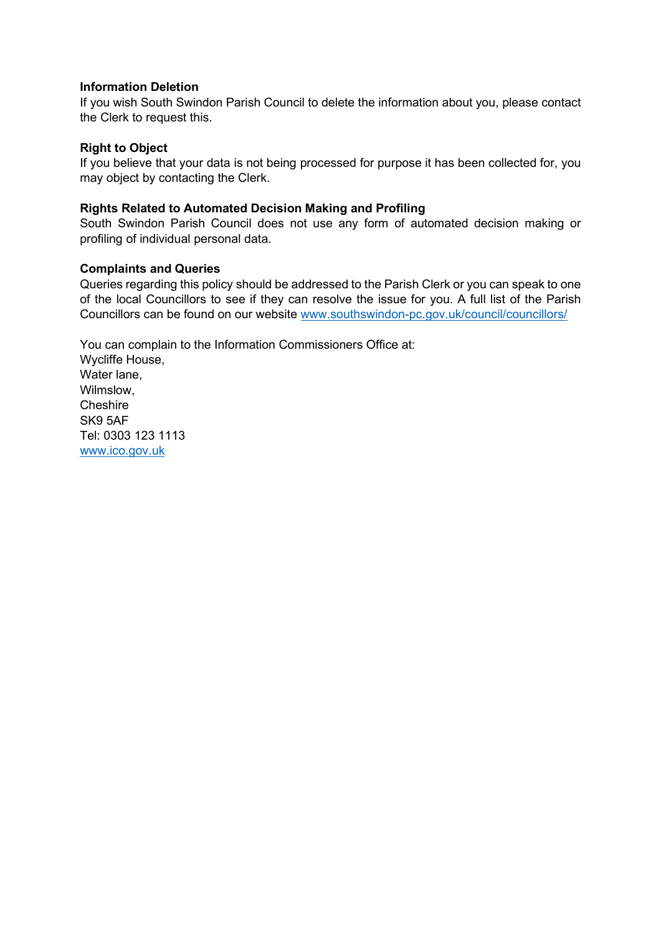### Information Deletion

If you wish South Swindon Parish Council to delete the information about you, please contact the Clerk to request this.

### Right to Object

If you believe that your data is not being processed for purpose it has been collected for, you may object by contacting the Clerk.

### Rights Related to Automated Decision Making and Profiling

South Swindon Parish Council does not use any form of automated decision making or profiling of individual personal data.

#### Complaints and Queries

Queries regarding this policy should be addressed to the Parish Clerk or you can speak to one of the local Councillors to see if they can resolve the issue for you. A full list of the Parish Councillors can be found on our website www.southswindon-pc.gov.uk/council/councillors/

You can complain to the Information Commissioners Office at: Wycliffe House, Water lane, Wilmslow, **Cheshire** SK9 5AF Tel: 0303 123 1113 www.ico.gov.uk